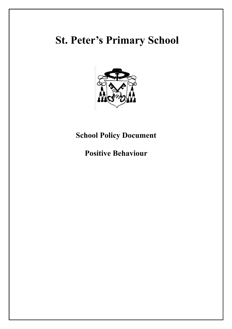# **St. Peter's Primary School**



## **School Policy Document**

**Positive Behaviour**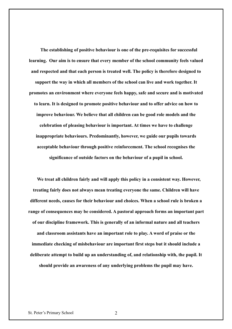**The establishing of positive behaviour is one of the pre-requisites for successful learning. Our aim is to ensure that every member of the school community feels valued and respected and that each person is treated well. The policy is therefore designed to support the way in which all members of the school can live and work together. It promotes an environment where everyone feels happy, safe and secure and is motivated to learn. It is designed to promote positive behaviour and to offer advice on how to improve behaviour. We believe that all children can be good role models and the celebration of pleasing behaviour is important. At times we have to challenge inappropriate behaviours. Predominantly, however, we guide our pupils towards acceptable behaviour through positive reinforcement. The school recognises the significance of outside factors on the behaviour of a pupil in school.**

**We treat all children fairly and will apply this policy in a consistent way. However, treating fairly does not always mean treating everyone the same. Children will have different needs, causes for their behaviour and choices. When a school rule is broken a range of consequences may be considered. A pastoral approach forms an important part of our discipline framework. This is generally of an informal nature and all teachers and classroom assistants have an important role to play. A word of praise or the immediate checking of misbehaviour are important first steps but it should include a deliberate attempt to build up an understanding of, and relationship with, the pupil. It should provide an awareness of any underlying problems the pupil may have.**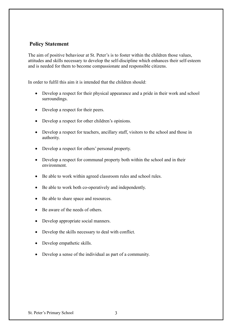## **Policy Statement**

The aim of positive behaviour at St. Peter's is to foster within the children those values, attitudes and skills necessary to develop the self-discipline which enhances their self-esteem and is needed for them to become compassionate and responsible citizens.

In order to fulfil this aim it is intended that the children should:

- Develop a respect for their physical appearance and a pride in their work and school surroundings.
- Develop a respect for their peers.
- Develop a respect for other children's opinions.
- Develop a respect for teachers, ancillary staff, visitors to the school and those in authority.
- Develop a respect for others' personal property.
- Develop a respect for communal property both within the school and in their environment.
- Be able to work within agreed classroom rules and school rules.
- Be able to work both co-operatively and independently.
- Be able to share space and resources.
- Be aware of the needs of others.
- Develop appropriate social manners.
- Develop the skills necessary to deal with conflict.
- Develop empathetic skills.
- Develop a sense of the individual as part of a community.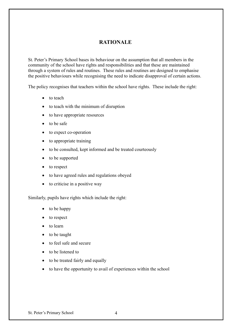## **RATIONALE**

St. Peter's Primary School bases its behaviour on the assumption that all members in the community of the school have rights and responsibilities and that these are maintained through a system of rules and routines. These rules and routines are designed to emphasise the positive behaviours while recognising the need to indicate disapproval of certain actions.

The policy recognises that teachers within the school have rights. These include the right:

- to teach
- to teach with the minimum of disruption
- to have appropriate resources
- to be safe
- to expect co-operation
- to appropriate training
- to be consulted, kept informed and be treated courteously
- to be supported
- to respect
- to have agreed rules and regulations obeyed
- $\bullet$  to criticise in a positive way

Similarly, pupils have rights which include the right:

- to be happy
- to respect
- to learn
- to be taught
- to feel safe and secure
- to be listened to
- to be treated fairly and equally
- to have the opportunity to avail of experiences within the school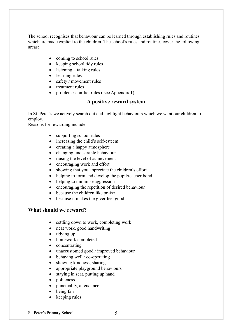The school recognises that behaviour can be learned through establishing rules and routines which are made explicit to the children. The school's rules and routines cover the following areas:

- coming to school rules
- $\bullet$  keeping school tidy rules
- $\bullet$  listening talking rules
- learning rules
- safety / movement rules
- treatment rules
- problem / conflict rules (see Appendix 1)

#### **A positive reward system**

In St. Peter's we actively search out and highlight behaviours which we want our children to employ.

Reasons for rewarding include:

- supporting school rules
- increasing the child's self-esteem
- creating a happy atmosphere
- changing undesirable behaviour
- raising the level of achievement
- encouraging work and effort
- showing that you appreciate the children's effort
- helping to form and develop the pupil/teacher bond
- helping to minimise aggression
- encouraging the repetition of desired behaviour
- because the children like praise
- because it makes the giver feel good

#### **What should we reward?**

- settling down to work, completing work
- neat work, good handwriting
- $\bullet$  tidying up
- homework completed
- concentrating
- unaccustomed good / improved behaviour
- behaving well / co-operating
- showing kindness, sharing
- appropriate playground behaviours
- staying in seat, putting up hand
- politeness
- punctuality, attendance
- being fair
- keeping rules

St. Peter's Primary School 5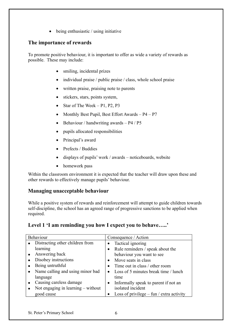$\bullet$  being enthusiastic / using initiative

## **The importance of rewards**

To promote positive behaviour, it is important to offer as wide a variety of rewards as possible. These may include:

- smiling, incidental prizes
- individual praise / public praise / class, whole school praise
- written praise, praising note to parents
- stickers, stars, points system,
- Star of The Week  $P1$ ,  $P2$ ,  $P3$
- Monthly Best Pupil, Best Effort Awards  $P4 P7$
- $\bullet$  Behaviour / handwriting awards P4 / P5
- pupils allocated responsibilities
- Principal's award
- Prefects / Buddies
- $\bullet$  displays of pupils' work / awards noticeboards, website
- homework pass

Within the classroom environment it is expected that the teacher will draw upon these and other rewards to effectively manage pupils' behaviour.

## **Managing unacceptable behaviour**

While a positive system of rewards and reinforcement will attempt to guide children towards self-discipline, the school has an agreed range of progressive sanctions to be applied when required.

## **Level 1 'I am reminding you how I expect you to behave…..'**

| Behaviour                            | Consequence / Action                              |
|--------------------------------------|---------------------------------------------------|
| • Distracting other children from    | Tactical ignoring                                 |
| learning                             | • Rule reminders / speak about the                |
| Answering back                       | behaviour you want to see                         |
| Disobey instructions                 | Move seats in class                               |
| Being untruthful                     | Time out in class / other room                    |
| Name calling and using minor bad     | • Loss of 5 minutes break time / lunch            |
| language                             | time                                              |
| Causing careless damage              | Informally speak to parent if not an<br>$\bullet$ |
| Not engaging in learning $-$ without | isolated incident                                 |
| good cause                           | Loss of privilege $-$ fun / extra activity        |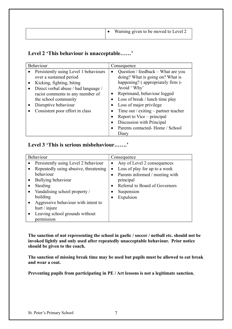|  |  | Warning given to be moved to Level 2 |
|--|--|--------------------------------------|
|--|--|--------------------------------------|

## **Level 2 'This behaviour is unacceptable……'**

| <b>Behaviour</b>                                                                                                                                                                                                                                             | Consequence                                                                                                                                                                                                                                                                                                                                                                          |
|--------------------------------------------------------------------------------------------------------------------------------------------------------------------------------------------------------------------------------------------------------------|--------------------------------------------------------------------------------------------------------------------------------------------------------------------------------------------------------------------------------------------------------------------------------------------------------------------------------------------------------------------------------------|
| Persistently using Level 1 behaviours<br>over a sustained period<br>Kicking, fighting, biting<br>Direct verbal abuse / bad language /<br>racist comments to any member of<br>the school community<br>Disruptive behaviour<br>Consistent poor effort in class | Question / feedback – What are you<br>$\bullet$<br>doing? What is going on? What is<br>happening? (appropriately firm)-<br>Avoid 'Why'<br>Reprimand, behaviour logged<br>Loss of break / lunch time play<br>Loss of major privilege<br>Time out / exiting $-$ partner teacher<br>Report to Vice – principal<br>Discussion with Principal<br>Parents contacted-Home / School<br>Diary |

## **Level 3 'This is serious misbehaviour…….'**

| <b>Behaviour</b>                      | Consequence                                |
|---------------------------------------|--------------------------------------------|
| Persistently using Level 2 behaviour  | Any of Level 2 consequences<br>$\bullet$   |
| Repeatedly using abusive, threatening | Loss of play for up to a week<br>$\bullet$ |
| behaviour                             | Parents informed / meeting with            |
| Bullying behaviour<br>$\bullet$       | principal                                  |
| Stealing                              | Referral to Board of Governors             |
| Vandalising school property /         | Suspension                                 |
| building                              | Expulsion                                  |
| Aggressive behaviour with intent to   |                                            |
| hurt / injure                         |                                            |
| Leaving school grounds without        |                                            |
| permission                            |                                            |

**The sanction of not representing the school in gaelic / soccer / netball etc. should not be invoked lightly and only used after repeatedly unacceptable behaviour. Prior notice should be given to the coach.**

**The sanction of missing break time may be used but pupils must be allowed to eat break and wear a coat.**

**Preventing pupils from participating in PE / Art lessons is not a legitimate sanction.**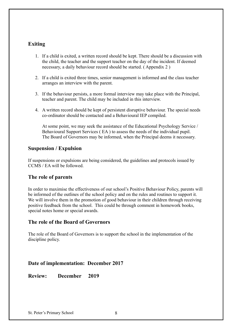## **Exiting**

- 1. If a child is exited, a written record should be kept. There should be a discussion with the child, the teacher and the support teacher on the day of the incident. If deemed necessary, a daily behaviour record should be started. ( Appendix 2 )
- 2. If a child is exited three times, senior management is informed and the class teacher arranges an interview with the parent.
- 3. If the behaviour persists, a more formal interview may take place with the Principal, teacher and parent. The child may be included in this interview.
- 4. A written record should be kept of persistent disruptive behaviour. The special needs co-ordinator should be contacted and a Behavioural IEP compiled.

At some point, we may seek the assistance of the Educational Psychology Service / Behavioural Support Services ( EA ) to assess the needs of the individual pupil. The Board of Governors may be informed, when the Principal deems it necessary.

## **Suspension / Expulsion**

If suspensions or expulsions are being considered, the guidelines and protocols issued by CCMS / EA will be followed.

## **The role of parents**

In order to maximise the effectiveness of our school's Positive Behaviour Policy, parents will be informed of the outlines of the school policy and on the rules and routines to support it. We will involve them in the promotion of good behaviour in their children through receiving positive feedback from the school. This could be through comment in homework books, special notes home or special awards.

#### **The role of the Board of Governors**

The role of the Board of Governors is to support the school in the implementation of the discipline policy.

## **Date of implementation: December 2017**

**Review: December 2019**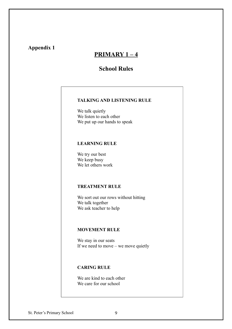## **Appendix 1**

## **PRIMARY 1 – 4**

## **School Rules**

#### **TALKING AND LISTENING RULE**

We talk quietly We listen to each other We put up our hands to speak

### **LEARNING RULE**

We try our best We keep busy We let others work

## **TREATMENT RULE**

We sort out our rows without hitting We talk together We ask teacher to help

#### **MOVEMENT RULE**

We stay in our seats If we need to move – we move quietly

## **CARING RULE**

We are kind to each other We care for our school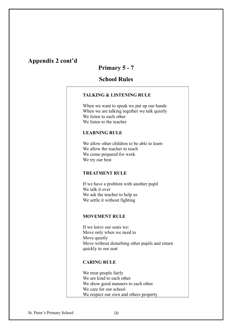## **Appendix 2 cont'd**

## **Primary 5 - 7**

## **School Rules**

#### **TALKING & LISTENING RULE**

When we want to speak we put up our hands When we are talking together we talk quietly We listen to each other We listen to the teacher

#### **LEARNING RULE**

We allow other children to be able to learn We allow the teacher to teach We come prepared for work We try our best

#### **TREATMENT RULE**

If we have a problem with another pupil We talk it over We ask the teacher to help us We settle it without fighting

#### **MOVEMENT RULE**

If we leave our seats we: Move only when we need to Move quietly Move without disturbing other pupils and return quickly to our seat

#### **CARING RULE**

We treat people fairly We are kind to each other We show good manners to each other We care for our school We respect our own and others property